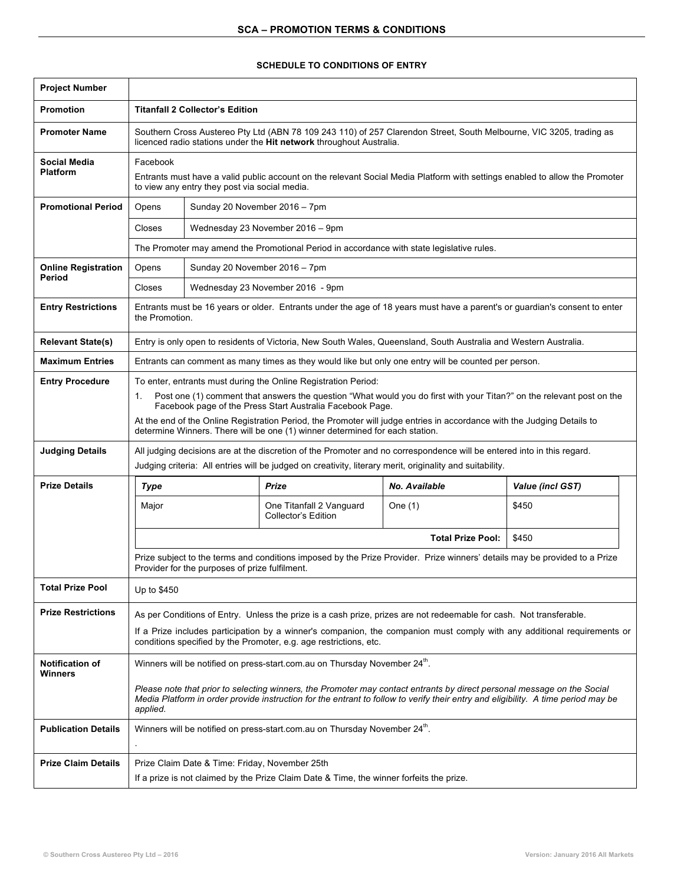## **SCHEDULE TO CONDITIONS OF ENTRY**

| <b>Project Number</b>                  |                                                                                                                                                                                                                                                                                                                                                                                                                                                                       |                                  |                                                 |                          |                  |
|----------------------------------------|-----------------------------------------------------------------------------------------------------------------------------------------------------------------------------------------------------------------------------------------------------------------------------------------------------------------------------------------------------------------------------------------------------------------------------------------------------------------------|----------------------------------|-------------------------------------------------|--------------------------|------------------|
| <b>Promotion</b>                       | <b>Titanfall 2 Collector's Edition</b>                                                                                                                                                                                                                                                                                                                                                                                                                                |                                  |                                                 |                          |                  |
| <b>Promoter Name</b>                   | Southern Cross Austereo Pty Ltd (ABN 78 109 243 110) of 257 Clarendon Street, South Melbourne, VIC 3205, trading as<br>licenced radio stations under the Hit network throughout Australia.                                                                                                                                                                                                                                                                            |                                  |                                                 |                          |                  |
| <b>Social Media</b><br><b>Platform</b> | Facebook<br>Entrants must have a valid public account on the relevant Social Media Platform with settings enabled to allow the Promoter<br>to view any entry they post via social media.                                                                                                                                                                                                                                                                              |                                  |                                                 |                          |                  |
| <b>Promotional Period</b>              | Opens                                                                                                                                                                                                                                                                                                                                                                                                                                                                 | Sunday 20 November 2016 - 7pm    |                                                 |                          |                  |
|                                        | Closes                                                                                                                                                                                                                                                                                                                                                                                                                                                                | Wednesday 23 November 2016 - 9pm |                                                 |                          |                  |
|                                        | The Promoter may amend the Promotional Period in accordance with state legislative rules.                                                                                                                                                                                                                                                                                                                                                                             |                                  |                                                 |                          |                  |
| <b>Online Registration</b><br>Period   | Opens                                                                                                                                                                                                                                                                                                                                                                                                                                                                 | Sunday 20 November 2016 - 7pm    |                                                 |                          |                  |
|                                        | Closes                                                                                                                                                                                                                                                                                                                                                                                                                                                                | Wednesday 23 November 2016 - 9pm |                                                 |                          |                  |
| <b>Entry Restrictions</b>              | Entrants must be 16 years or older. Entrants under the age of 18 years must have a parent's or guardian's consent to enter<br>the Promotion.                                                                                                                                                                                                                                                                                                                          |                                  |                                                 |                          |                  |
| <b>Relevant State(s)</b>               | Entry is only open to residents of Victoria, New South Wales, Queensland, South Australia and Western Australia.                                                                                                                                                                                                                                                                                                                                                      |                                  |                                                 |                          |                  |
| <b>Maximum Entries</b>                 | Entrants can comment as many times as they would like but only one entry will be counted per person.                                                                                                                                                                                                                                                                                                                                                                  |                                  |                                                 |                          |                  |
| <b>Entry Procedure</b>                 | To enter, entrants must during the Online Registration Period:<br>Post one (1) comment that answers the question "What would you do first with your Titan?" on the relevant post on the<br>1.<br>Facebook page of the Press Start Australia Facebook Page.<br>At the end of the Online Registration Period, the Promoter will judge entries in accordance with the Judging Details to<br>determine Winners. There will be one (1) winner determined for each station. |                                  |                                                 |                          |                  |
| <b>Judging Details</b>                 | All judging decisions are at the discretion of the Promoter and no correspondence will be entered into in this regard.<br>Judging criteria: All entries will be judged on creativity, literary merit, originality and suitability.                                                                                                                                                                                                                                    |                                  |                                                 |                          |                  |
| <b>Prize Details</b>                   | <b>Type</b>                                                                                                                                                                                                                                                                                                                                                                                                                                                           |                                  | Prize                                           | <b>No. Available</b>     | Value (incl GST) |
|                                        | Major                                                                                                                                                                                                                                                                                                                                                                                                                                                                 |                                  | One Titanfall 2 Vanguard<br>Collector's Edition | One (1)                  | \$450            |
|                                        |                                                                                                                                                                                                                                                                                                                                                                                                                                                                       |                                  |                                                 | <b>Total Prize Pool:</b> | \$450            |
|                                        | Prize subject to the terms and conditions imposed by the Prize Provider. Prize winners' details may be provided to a Prize<br>Provider for the purposes of prize fulfilment.                                                                                                                                                                                                                                                                                          |                                  |                                                 |                          |                  |
| <b>Total Prize Pool</b>                | Up to \$450                                                                                                                                                                                                                                                                                                                                                                                                                                                           |                                  |                                                 |                          |                  |
| <b>Prize Restrictions</b>              | As per Conditions of Entry. Unless the prize is a cash prize, prizes are not redeemable for cash. Not transferable.                                                                                                                                                                                                                                                                                                                                                   |                                  |                                                 |                          |                  |
|                                        | If a Prize includes participation by a winner's companion, the companion must comply with any additional requirements or<br>conditions specified by the Promoter, e.g. age restrictions, etc.                                                                                                                                                                                                                                                                         |                                  |                                                 |                          |                  |
| <b>Notification of</b><br>Winners      | Winners will be notified on press-start.com.au on Thursday November 24 <sup>th</sup> .                                                                                                                                                                                                                                                                                                                                                                                |                                  |                                                 |                          |                  |
|                                        | Please note that prior to selecting winners, the Promoter may contact entrants by direct personal message on the Social<br>Media Platform in order provide instruction for the entrant to follow to verify their entry and eligibility. A time period may be<br>applied.                                                                                                                                                                                              |                                  |                                                 |                          |                  |
| <b>Publication Details</b>             | Winners will be notified on press-start.com.au on Thursday November 24 <sup>th</sup> .<br>÷.                                                                                                                                                                                                                                                                                                                                                                          |                                  |                                                 |                          |                  |
| <b>Prize Claim Details</b>             | Prize Claim Date & Time: Friday, November 25th<br>If a prize is not claimed by the Prize Claim Date & Time, the winner forfeits the prize.                                                                                                                                                                                                                                                                                                                            |                                  |                                                 |                          |                  |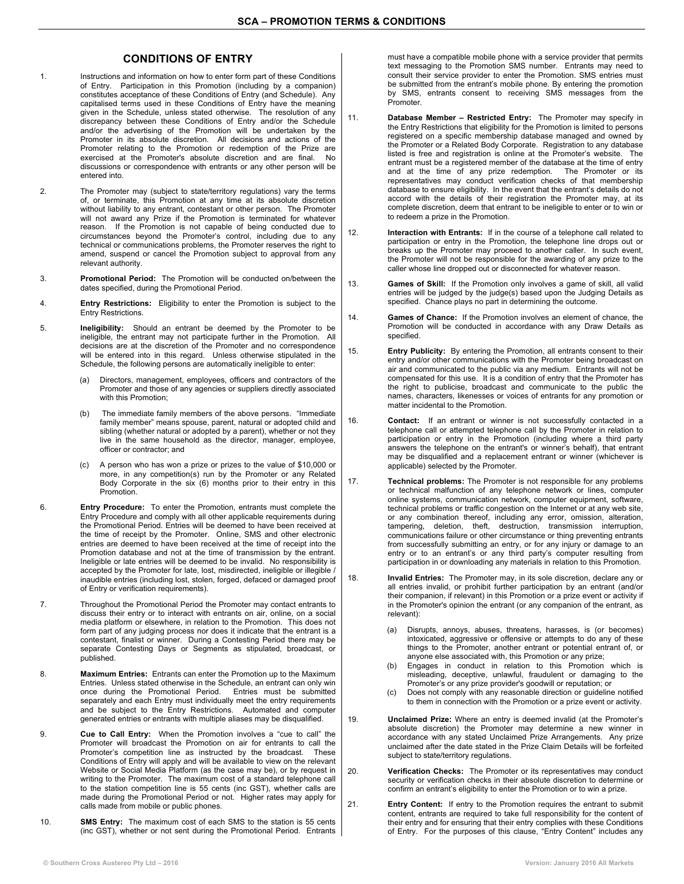## **CONDITIONS OF ENTRY**

- 1. Instructions and information on how to enter form part of these Conditions of Entry. Participation in this Promotion (including by a companion) constitutes acceptance of these Conditions of Entry (and Schedule). Any capitalised terms used in these Conditions of Entry have the meaning given in the Schedule, unless stated otherwise. The resolution of any discrepancy between these Conditions of Entry and/or the Schedule and/or the advertising of the Promotion will be undertaken by the Promoter in its absolute discretion. All decisions and actions of the Promoter relating to the Promotion or redemption of the Prize are exercised at the Promoter's absolute discretion and are final. No discussions or correspondence with entrants or any other person will be entered into.
- 2. The Promoter may (subject to state/territory regulations) vary the terms of, or terminate, this Promotion at any time at its absolute discretion without liability to any entrant, contestant or other person. The Promoter will not award any Prize if the Promotion is terminated for whatever reason. If the Promotion is not capable of being conducted due to circumstances beyond the Promoter's control, including due to any technical or communications problems, the Promoter reserves the right to amend, suspend or cancel the Promotion subject to approval from any relevant authority.
- 3. **Promotional Period:** The Promotion will be conducted on/between the dates specified, during the Promotional Period.
- 4. **Entry Restrictions:** Eligibility to enter the Promotion is subject to the Entry Restrictions.
- 5. **Ineligibility:** Should an entrant be deemed by the Promoter to be ineligible, the entrant may not participate further in the Promotion. All decisions are at the discretion of the Promoter and no correspondence will be entered into in this regard. Unless otherwise stipulated in the Schedule, the following persons are automatically ineligible to enter:
	- (a) Directors, management, employees, officers and contractors of the Promoter and those of any agencies or suppliers directly associated with this Promotion;
	- (b) The immediate family members of the above persons. "Immediate family member" means spouse, parent, natural or adopted child and sibling (whether natural or adopted by a parent), whether or not they live in the same household as the director, manager, employee, officer or contractor; and
	- (c) A person who has won a prize or prizes to the value of \$10,000 or more, in any competition(s) run by the Promoter or any Related Body Corporate in the six (6) months prior to their entry in this Promotion.
- 6. **Entry Procedure:** To enter the Promotion, entrants must complete the Entry Procedure and comply with all other applicable requirements during the Promotional Period. Entries will be deemed to have been received at the time of receipt by the Promoter. Online, SMS and other electronic entries are deemed to have been received at the time of receipt into the Promotion database and not at the time of transmission by the entrant. Ineligible or late entries will be deemed to be invalid. No responsibility is accepted by the Promoter for late, lost, misdirected, ineligible or illegible / inaudible entries (including lost, stolen, forged, defaced or damaged proof of Entry or verification requirements).
- 7. Throughout the Promotional Period the Promoter may contact entrants to discuss their entry or to interact with entrants on air, online, on a social media platform or elsewhere, in relation to the Promotion. This does not form part of any judging process nor does it indicate that the entrant is a contestant, finalist or winner. During a Contesting Period there may be separate Contesting Days or Segments as stipulated, broadcast, or published.
- 8. **Maximum Entries:** Entrants can enter the Promotion up to the Maximum Entries. Unless stated otherwise in the Schedule, an entrant can only win once during the Promotional Period. Entries must be submitted separately and each Entry must individually meet the entry requirements and be subject to the Entry Restrictions. Automated and computer generated entries or entrants with multiple aliases may be disqualified.
- 9. **Cue to Call Entry:** When the Promotion involves a "cue to call" the Promoter will broadcast the Promotion on air for entrants to call the Promoter's competition line as instructed by the broadcast. These Conditions of Entry will apply and will be available to view on the relevant Website or Social Media Platform (as the case may be), or by request in writing to the Promoter. The maximum cost of a standard telephone call to the station competition line is 55 cents (inc GST), whether calls are made during the Promotional Period or not. Higher rates may apply for calls made from mobile or public phones.
- 10. **SMS Entry:** The maximum cost of each SMS to the station is 55 cents (inc GST), whether or not sent during the Promotional Period. Entrants

must have a compatible mobile phone with a service provider that permits text messaging to the Promotion SMS number. Entrants may need to consult their service provider to enter the Promotion. SMS entries must be submitted from the entrant's mobile phone. By entering the promotion by SMS, entrants consent to receiving SMS messages from the Promoter.

- 11. **Database Member – Restricted Entry:** The Promoter may specify in the Entry Restrictions that eligibility for the Promotion is limited to persons registered on a specific membership database managed and owned by the Promoter or a Related Body Corporate. Registration to any database listed is free and registration is online at the Promoter's website. The entrant must be a registered member of the database at the time of entry and at the time of any prize redemption. The Promoter or its representatives may conduct verification checks of that membership database to ensure eligibility. In the event that the entrant's details do not accord with the details of their registration the Promoter may, at its complete discretion, deem that entrant to be ineligible to enter or to win or to redeem a prize in the Promotion.
- 12. **Interaction with Entrants:** If in the course of a telephone call related to participation or entry in the Promotion, the telephone line drops out or breaks up the Promoter may proceed to another caller. In such event, the Promoter will not be responsible for the awarding of any prize to the caller whose line dropped out or disconnected for whatever reason.
- 13. **Games of Skill:** If the Promotion only involves a game of skill, all valid entries will be judged by the judge(s) based upon the Judging Details as specified. Chance plays no part in determining the outcome.
- 14. **Games of Chance:** If the Promotion involves an element of chance, the Promotion will be conducted in accordance with any Draw Details as specified.
- 15. **Entry Publicity:** By entering the Promotion, all entrants consent to their entry and/or other communications with the Promoter being broadcast on air and communicated to the public via any medium. Entrants will not be compensated for this use. It is a condition of entry that the Promoter has the right to publicise, broadcast and communicate to the public the names, characters, likenesses or voices of entrants for any promotion or matter incidental to the Promotion.
- 16. **Contact:** If an entrant or winner is not successfully contacted in a telephone call or attempted telephone call by the Promoter in relation to participation or entry in the Promotion (including where a third party answers the telephone on the entrant's or winner's behalf), that entrant may be disqualified and a replacement entrant or winner (whichever is applicable) selected by the Promoter.
- 17. **Technical problems:** The Promoter is not responsible for any problems or technical malfunction of any telephone network or lines, computer online systems, communication network, computer equipment, software, technical problems or traffic congestion on the Internet or at any web site, or any combination thereof, including any error, omission, alteration, tampering, deletion, theft, destruction, transmission interruption, communications failure or other circumstance or thing preventing entrants from successfully submitting an entry, or for any injury or damage to an entry or to an entrant's or any third party's computer resulting from participation in or downloading any materials in relation to this Promotion.
- 18. **Invalid Entries:** The Promoter may, in its sole discretion, declare any or all entries invalid, or prohibit further participation by an entrant (and/or their companion, if relevant) in this Promotion or a prize event or activity if in the Promoter's opinion the entrant (or any companion of the entrant, as relevant):
	- (a) Disrupts, annoys, abuses, threatens, harasses, is (or becomes) intoxicated, aggressive or offensive or attempts to do any of these things to the Promoter, another entrant or potential entrant of, or anyone else associated with, this Promotion or any prize;<br>Engages in conduct in relation to this Promotion which is
	- (b) Engages in conduct in relation to this Promotion misleading, deceptive, unlawful, fraudulent or damaging to the Promoter's or any prize provider's goodwill or reputation; or
	- (c) Does not comply with any reasonable direction or guideline notified to them in connection with the Promotion or a prize event or activity.
- 19. **Unclaimed Prize:** Where an entry is deemed invalid (at the Promoter's absolute discretion) the Promoter may determine a new winner in accordance with any stated Unclaimed Prize Arrangements. Any prize unclaimed after the date stated in the Prize Claim Details will be forfeited subject to state/territory regulations.
- 20. **Verification Checks:** The Promoter or its representatives may conduct security or verification checks in their absolute discretion to determine or confirm an entrant's eligibility to enter the Promotion or to win a prize.
- 21. **Entry Content:** If entry to the Promotion requires the entrant to submit content, entrants are required to take full responsibility for the content of their entry and for ensuring that their entry complies with these Conditions of Entry. For the purposes of this clause, "Entry Content" includes any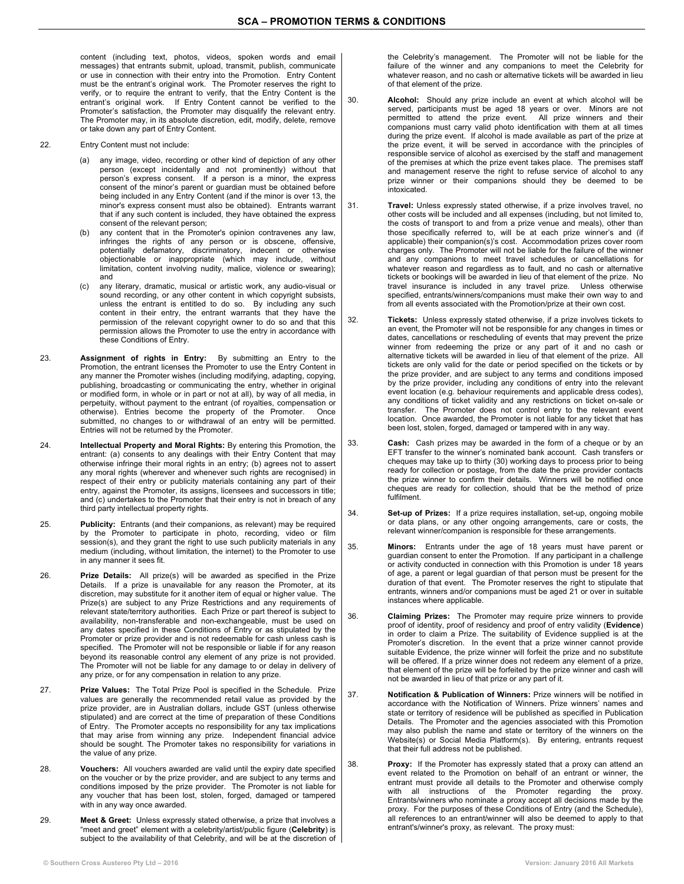content (including text, photos, videos, spoken words and email messages) that entrants submit, upload, transmit, publish, communicate or use in connection with their entry into the Promotion. Entry Content must be the entrant's original work. The Promoter reserves the right to verify, or to require the entrant to verify, that the Entry Content is the entrant's original work. If Entry Content cannot be verified to the Promoter's satisfaction, the Promoter may disqualify the relevant entry. The Promoter may, in its absolute discretion, edit, modify, delete, remove or take down any part of Entry Content.

- 22. Entry Content must not include:
	- (a) any image, video, recording or other kind of depiction of any other person (except incidentally and not prominently) without that person's express consent. If a person is a minor, the express consent of the minor's parent or guardian must be obtained before being included in any Entry Content (and if the minor is over 13, the minor's express consent must also be obtained). Entrants warrant that if any such content is included, they have obtained the express consent of the relevant person;
	- any content that in the Promoter's opinion contravenes any law, infringes the rights of any person or is obscene, offensive, potentially defamatory, discriminatory, indecent or otherwise objectionable or inappropriate (which may include, without limitation, content involving nudity, malice, violence or swearing); and
	- (c) any literary, dramatic, musical or artistic work, any audio-visual or sound recording, or any other content in which copyright subsists, unless the entrant is entitled to do so. By including any such content in their entry, the entrant warrants that they have the permission of the relevant copyright owner to do so and that this permission allows the Promoter to use the entry in accordance with these Conditions of Entry.
- 23. **Assignment of rights in Entry:** By submitting an Entry to the Promotion, the entrant licenses the Promoter to use the Entry Content in any manner the Promoter wishes (including modifying, adapting, copying, publishing, broadcasting or communicating the entry, whether in original or modified form, in whole or in part or not at all), by way of all media, in perpetuity, without payment to the entrant (of royalties, compensation or otherwise). Entries become the property of the Promoter. Once submitted, no changes to or withdrawal of an entry will be permitted. Entries will not be returned by the Promoter.
- 24. **Intellectual Property and Moral Rights:** By entering this Promotion, the entrant: (a) consents to any dealings with their Entry Content that may otherwise infringe their moral rights in an entry; (b) agrees not to assert any moral rights (wherever and whenever such rights are recognised) in respect of their entry or publicity materials containing any part of their entry, against the Promoter, its assigns, licensees and successors in title; and (c) undertakes to the Promoter that their entry is not in breach of any third party intellectual property rights.
- 25. **Publicity:** Entrants (and their companions, as relevant) may be required by the Promoter to participate in photo, recording, video or film session(s), and they grant the right to use such publicity materials in any medium (including, without limitation, the internet) to the Promoter to use in any manner it sees fit.
- 26. **Prize Details:** All prize(s) will be awarded as specified in the Prize Details. If a prize is unavailable for any reason the Promoter, at its discretion, may substitute for it another item of equal or higher value. The Prize(s) are subject to any Prize Restrictions and any requirements of relevant state/territory authorities. Each Prize or part thereof is subject to availability, non-transferable and non-exchangeable, must be used on any dates specified in these Conditions of Entry or as stipulated by the Promoter or prize provider and is not redeemable for cash unless cash is specified. The Promoter will not be responsible or liable if for any reason beyond its reasonable control any element of any prize is not provided. The Promoter will not be liable for any damage to or delay in delivery of any prize, or for any compensation in relation to any prize.
- 27. **Prize Values:** The Total Prize Pool is specified in the Schedule. Prize values are generally the recommended retail value as provided by the prize provider, are in Australian dollars, include GST (unless otherwise stipulated) and are correct at the time of preparation of these Conditions of Entry. The Promoter accepts no responsibility for any tax implications that may arise from winning any prize. Independent financial advice should be sought. The Promoter takes no responsibility for variations in the value of any prize.
- 28. **Vouchers:** All vouchers awarded are valid until the expiry date specified on the voucher or by the prize provider, and are subject to any terms and conditions imposed by the prize provider. The Promoter is not liable for any voucher that has been lost, stolen, forged, damaged or tampered with in any way once awarded.
- 29. **Meet & Greet:** Unless expressly stated otherwise, a prize that involves a "meet and greet" element with a celebrity/artist/public figure (**Celebrity**) is subject to the availability of that Celebrity, and will be at the discretion of

the Celebrity's management. The Promoter will not be liable for the failure of the winner and any companions to meet the Celebrity for whatever reason, and no cash or alternative tickets will be awarded in lieu of that element of the prize.

- 30. **Alcohol:** Should any prize include an event at which alcohol will be served, participants must be aged 18 years or over. Minors are not permitted to attend the prize event. All prize winners and their companions must carry valid photo identification with them at all times during the prize event. If alcohol is made available as part of the prize at the prize event, it will be served in accordance with the principles of responsible service of alcohol as exercised by the staff and management of the premises at which the prize event takes place. The premises staff and management reserve the right to refuse service of alcohol to any prize winner or their companions should they be deemed to be intoxicated.
- 31. **Travel:** Unless expressly stated otherwise, if a prize involves travel, no other costs will be included and all expenses (including, but not limited to, the costs of transport to and from a prize venue and meals), other than those specifically referred to, will be at each prize winner's and (if applicable) their companion(s)'s cost. Accommodation prizes cover room charges only. The Promoter will not be liable for the failure of the winner and any companions to meet travel schedules or cancellations for whatever reason and regardless as to fault, and no cash or alternative tickets or bookings will be awarded in lieu of that element of the prize. No travel insurance is included in any travel prize. Unless otherwise specified, entrants/winners/companions must make their own way to and from all events associated with the Promotion/prize at their own cost.
- 32. **Tickets:** Unless expressly stated otherwise, if a prize involves tickets to an event, the Promoter will not be responsible for any changes in times or dates, cancellations or rescheduling of events that may prevent the prize winner from redeeming the prize or any part of it and no cash or alternative tickets will be awarded in lieu of that element of the prize. All tickets are only valid for the date or period specified on the tickets or by the prize provider, and are subject to any terms and conditions imposed by the prize provider, including any conditions of entry into the relevant event location (e.g. behaviour requirements and applicable dress codes), any conditions of ticket validity and any restrictions on ticket on-sale or transfer. The Promoter does not control entry to the relevant event location. Once awarded, the Promoter is not liable for any ticket that has been lost, stolen, forged, damaged or tampered with in any way.
- 33. **Cash:** Cash prizes may be awarded in the form of a cheque or by an EFT transfer to the winner's nominated bank account. Cash transfers or cheques may take up to thirty (30) working days to process prior to being ready for collection or postage, from the date the prize provider contacts the prize winner to confirm their details. Winners will be notified once cheques are ready for collection, should that be the method of prize fulfilment.
- 34. **Set-up of Prizes:** If a prize requires installation, set-up, ongoing mobile or data plans, or any other ongoing arrangements, care or costs, the relevant winner/companion is responsible for these arrangements.
- 35. **Minors:** Entrants under the age of 18 years must have parent or guardian consent to enter the Promotion. If any participant in a challenge or activity conducted in connection with this Promotion is under 18 years of age, a parent or legal guardian of that person must be present for the duration of that event. The Promoter reserves the right to stipulate that entrants, winners and/or companions must be aged 21 or over in suitable instances where applicable.
- 36. **Claiming Prizes:** The Promoter may require prize winners to provide proof of identity, proof of residency and proof of entry validity (**Evidence**) in order to claim a Prize. The suitability of Evidence supplied is at the Promoter's discretion. In the event that a prize winner cannot provide suitable Evidence, the prize winner will forfeit the prize and no substitute will be offered. If a prize winner does not redeem any element of a prize, that element of the prize will be forfeited by the prize winner and cash will not be awarded in lieu of that prize or any part of it.
- 37. **Notification & Publication of Winners:** Prize winners will be notified in accordance with the Notification of Winners. Prize winners' names and state or territory of residence will be published as specified in Publication Details. The Promoter and the agencies associated with this Promotion may also publish the name and state or territory of the winners on the Website(s) or Social Media Platform(s). By entering, entrants request that their full address not be published.
- 38. **Proxy:** If the Promoter has expressly stated that a proxy can attend an event related to the Promotion on behalf of an entrant or winner, the entrant must provide all details to the Promoter and otherwise comply with all instructions of the Promoter regarding the proxy. Entrants/winners who nominate a proxy accept all decisions made by the proxy. For the purposes of these Conditions of Entry (and the Schedule), all references to an entrant/winner will also be deemed to apply to that entrant's/winner's proxy, as relevant. The proxy must: